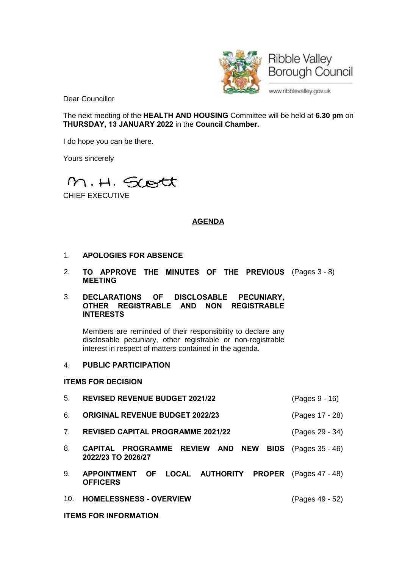

Dear Councillor

The next meeting of the **HEALTH AND HOUSING** Committee will be held at **6.30 pm** on **THURSDAY, 13 JANUARY 2022** in the **Council Chamber.**

I do hope you can be there.

Yours sincerely



CHIEF EXECUTIVE

# **AGENDA**

- 1. **APOLOGIES FOR ABSENCE**
- 2. **TO APPROVE THE MINUTES OF THE PREVIOUS** (Pages 3 8) **MEETING**

## 3. **DECLARATIONS OF DISCLOSABLE PECUNIARY, OTHER REGISTRABLE AND NON REGISTRABLE INTERESTS**

Members are reminded of their responsibility to declare any disclosable pecuniary, other registrable or non-registrable interest in respect of matters contained in the agenda.

#### 4. **PUBLIC PARTICIPATION**

#### **ITEMS FOR DECISION**

- 5. **REVISED REVENUE BUDGET 2021/22** (Pages 9 16)
- 6. **ORIGINAL REVENUE BUDGET 2022/23** (Pages 17 28)
- 7. **REVISED CAPITAL PROGRAMME 2021/22** (Pages 29 34)
- 8. **CAPITAL PROGRAMME REVIEW AND NEW BIDS** (Pages 35 46) **2022/23 TO 2026/27**
- 9. **APPOINTMENT OF LOCAL AUTHORITY PROPER** (Pages 47 48) **OFFICERS**
- 10. **HOMELESSNESS - OVERVIEW** (Pages 49 52)

**ITEMS FOR INFORMATION**